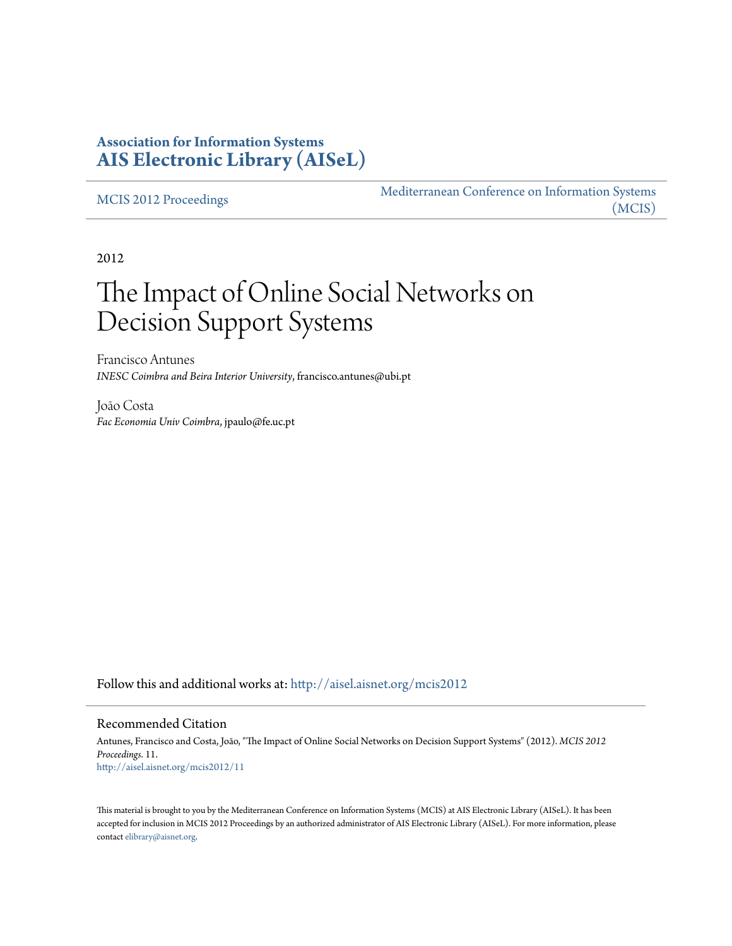## **Association for Information Systems [AIS Electronic Library \(AISeL\)](http://aisel.aisnet.org?utm_source=aisel.aisnet.org%2Fmcis2012%2F11&utm_medium=PDF&utm_campaign=PDFCoverPages)**

[MCIS 2012 Proceedings](http://aisel.aisnet.org/mcis2012?utm_source=aisel.aisnet.org%2Fmcis2012%2F11&utm_medium=PDF&utm_campaign=PDFCoverPages)

[Mediterranean Conference on Information Systems](http://aisel.aisnet.org/mcis?utm_source=aisel.aisnet.org%2Fmcis2012%2F11&utm_medium=PDF&utm_campaign=PDFCoverPages) [\(MCIS\)](http://aisel.aisnet.org/mcis?utm_source=aisel.aisnet.org%2Fmcis2012%2F11&utm_medium=PDF&utm_campaign=PDFCoverPages)

2012

# The Impact of Online Social Networks on Decision Support Systems

Francisco Antunes *INESC Coimbra and Beira Interior University*, francisco.antunes@ubi.pt

João Costa *Fac Economia Univ Coimbra*, jpaulo@fe.uc.pt

Follow this and additional works at: [http://aisel.aisnet.org/mcis2012](http://aisel.aisnet.org/mcis2012?utm_source=aisel.aisnet.org%2Fmcis2012%2F11&utm_medium=PDF&utm_campaign=PDFCoverPages)

#### Recommended Citation

Antunes, Francisco and Costa, João, "The Impact of Online Social Networks on Decision Support Systems" (2012). *MCIS 2012 Proceedings*. 11. [http://aisel.aisnet.org/mcis2012/11](http://aisel.aisnet.org/mcis2012/11?utm_source=aisel.aisnet.org%2Fmcis2012%2F11&utm_medium=PDF&utm_campaign=PDFCoverPages)

This material is brought to you by the Mediterranean Conference on Information Systems (MCIS) at AIS Electronic Library (AISeL). It has been accepted for inclusion in MCIS 2012 Proceedings by an authorized administrator of AIS Electronic Library (AISeL). For more information, please contact [elibrary@aisnet.org.](mailto:elibrary@aisnet.org%3E)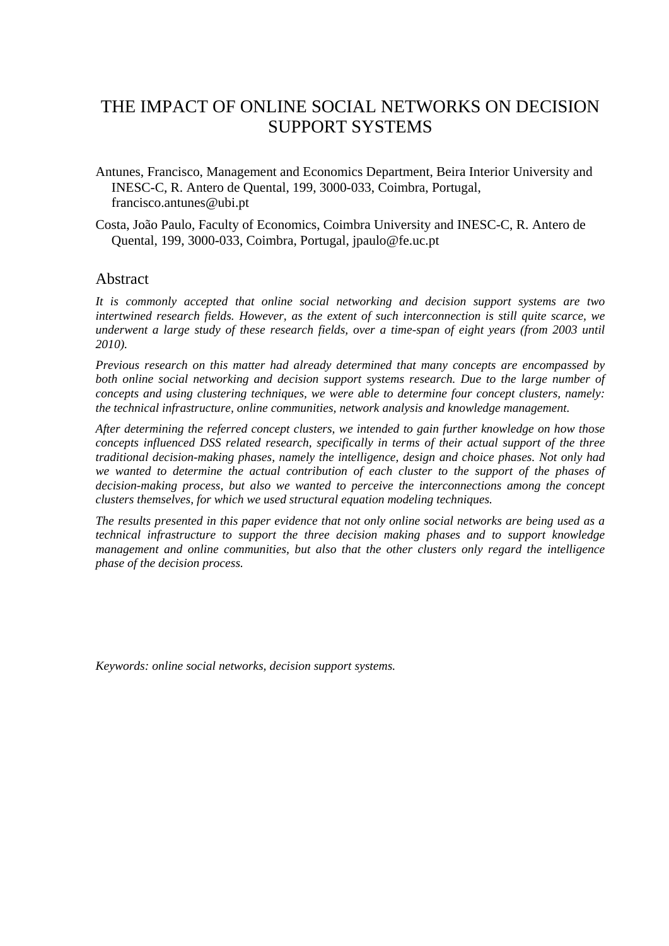# THE IMPACT OF ONLINE SOCIAL NETWORKS ON DECISION SUPPORT SYSTEMS

- Antunes, Francisco, Management and Economics Department, Beira Interior University and INESC-C, R. Antero de Quental, 199, 3000-033, Coimbra, Portugal, francisco.antunes@ubi.pt
- Costa, João Paulo, Faculty of Economics, Coimbra University and INESC-C, R. Antero de Quental, 199, 3000-033, Coimbra, Portugal, jpaulo@fe.uc.pt

#### Abstract

*It is commonly accepted that online social networking and decision support systems are two intertwined research fields. However, as the extent of such interconnection is still quite scarce, we underwent a large study of these research fields, over a time-span of eight years (from 2003 until 2010).* 

*Previous research on this matter had already determined that many concepts are encompassed by*  both online social networking and decision support systems research. Due to the large number of *concepts and using clustering techniques, we were able to determine four concept clusters, namely: the technical infrastructure, online communities, network analysis and knowledge management.* 

*After determining the referred concept clusters, we intended to gain further knowledge on how those concepts influenced DSS related research, specifically in terms of their actual support of the three traditional decision-making phases, namely the intelligence, design and choice phases. Not only had we wanted to determine the actual contribution of each cluster to the support of the phases of decision-making process, but also we wanted to perceive the interconnections among the concept clusters themselves, for which we used structural equation modeling techniques.* 

*The results presented in this paper evidence that not only online social networks are being used as a technical infrastructure to support the three decision making phases and to support knowledge management and online communities, but also that the other clusters only regard the intelligence phase of the decision process.* 

*Keywords: online social networks, decision support systems.*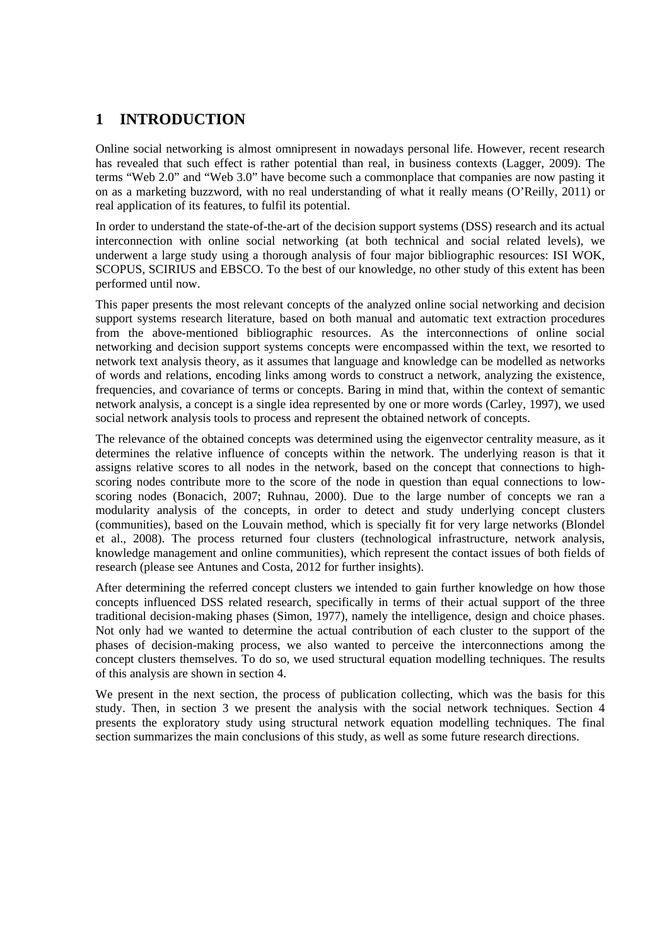### **1 INTRODUCTION**

Online social networking is almost omnipresent in nowadays personal life. However, recent research has revealed that such effect is rather potential than real, in business contexts (Lagger, 2009). The terms "Web 2.0" and "Web 3.0" have become such a commonplace that companies are now pasting it on as a marketing buzzword, with no real understanding of what it really means (O'Reilly, 2011) or real application of its features, to fulfil its potential.

In order to understand the state-of-the-art of the decision support systems (DSS) research and its actual interconnection with online social networking (at both technical and social related levels), we underwent a large study using a thorough analysis of four major bibliographic resources: ISI WOK, SCOPUS, SCIRIUS and EBSCO. To the best of our knowledge, no other study of this extent has been performed until now.

This paper presents the most relevant concepts of the analyzed online social networking and decision support systems research literature, based on both manual and automatic text extraction procedures from the above-mentioned bibliographic resources. As the interconnections of online social networking and decision support systems concepts were encompassed within the text, we resorted to network text analysis theory, as it assumes that language and knowledge can be modelled as networks of words and relations, encoding links among words to construct a network, analyzing the existence, frequencies, and covariance of terms or concepts. Baring in mind that, within the context of semantic network analysis, a concept is a single idea represented by one or more words (Carley, 1997), we used social network analysis tools to process and represent the obtained network of concepts.

The relevance of the obtained concepts was determined using the eigenvector centrality measure, as it determines the relative influence of concepts within the network. The underlying reason is that it assigns relative scores to all nodes in the network, based on the concept that connections to highscoring nodes contribute more to the score of the node in question than equal connections to lowscoring nodes (Bonacich, 2007; Ruhnau, 2000). Due to the large number of concepts we ran a modularity analysis of the concepts, in order to detect and study underlying concept clusters (communities), based on the Louvain method, which is specially fit for very large networks (Blondel et al., 2008). The process returned four clusters (technological infrastructure, network analysis, knowledge management and online communities), which represent the contact issues of both fields of research (please see Antunes and Costa, 2012 for further insights).

After determining the referred concept clusters we intended to gain further knowledge on how those concepts influenced DSS related research, specifically in terms of their actual support of the three traditional decision-making phases (Simon, 1977), namely the intelligence, design and choice phases. Not only had we wanted to determine the actual contribution of each cluster to the support of the phases of decision-making process, we also wanted to perceive the interconnections among the concept clusters themselves. To do so, we used structural equation modelling techniques. The results of this analysis are shown in section 4.

We present in the next section, the process of publication collecting, which was the basis for this study. Then, in section 3 we present the analysis with the social network techniques. Section 4 presents the exploratory study using structural network equation modelling techniques. The final section summarizes the main conclusions of this study, as well as some future research directions.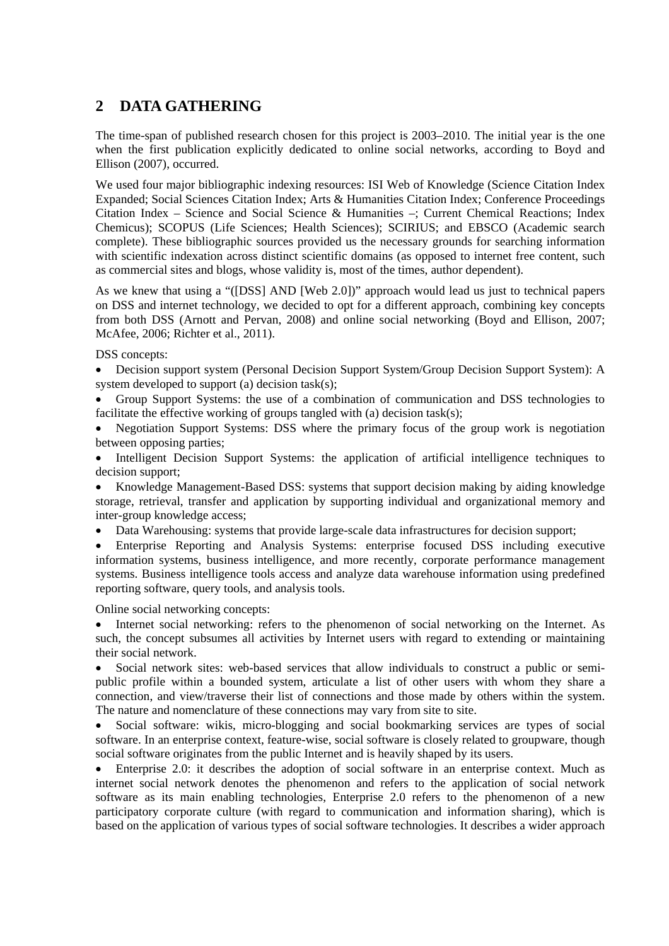# **2 DATA GATHERING**

The time-span of published research chosen for this project is 2003–2010. The initial year is the one when the first publication explicitly dedicated to online social networks, according to Boyd and Ellison (2007), occurred.

We used four major bibliographic indexing resources: ISI Web of Knowledge (Science Citation Index Expanded; Social Sciences Citation Index; Arts & Humanities Citation Index; Conference Proceedings Citation Index – Science and Social Science & Humanities –; Current Chemical Reactions; Index Chemicus); SCOPUS (Life Sciences; Health Sciences); SCIRIUS; and EBSCO (Academic search complete). These bibliographic sources provided us the necessary grounds for searching information with scientific indexation across distinct scientific domains (as opposed to internet free content, such as commercial sites and blogs, whose validity is, most of the times, author dependent).

As we knew that using a "([DSS] AND [Web 2.0])" approach would lead us just to technical papers on DSS and internet technology, we decided to opt for a different approach, combining key concepts from both DSS (Arnott and Pervan, 2008) and online social networking (Boyd and Ellison, 2007; McAfee, 2006; Richter et al., 2011).

#### DSS concepts:

- Decision support system (Personal Decision Support System/Group Decision Support System): A system developed to support (a) decision task(s);
- Group Support Systems: the use of a combination of communication and DSS technologies to facilitate the effective working of groups tangled with (a) decision task(s);
- Negotiation Support Systems: DSS where the primary focus of the group work is negotiation between opposing parties;
- Intelligent Decision Support Systems: the application of artificial intelligence techniques to decision support;

• Knowledge Management-Based DSS: systems that support decision making by aiding knowledge storage, retrieval, transfer and application by supporting individual and organizational memory and inter-group knowledge access;

• Data Warehousing: systems that provide large-scale data infrastructures for decision support;

• Enterprise Reporting and Analysis Systems: enterprise focused DSS including executive information systems, business intelligence, and more recently, corporate performance management systems. Business intelligence tools access and analyze data warehouse information using predefined reporting software, query tools, and analysis tools.

Online social networking concepts:

Internet social networking: refers to the phenomenon of social networking on the Internet. As such, the concept subsumes all activities by Internet users with regard to extending or maintaining their social network.

• Social network sites: web-based services that allow individuals to construct a public or semipublic profile within a bounded system, articulate a list of other users with whom they share a connection, and view/traverse their list of connections and those made by others within the system. The nature and nomenclature of these connections may vary from site to site.

• Social software: wikis, micro-blogging and social bookmarking services are types of social software. In an enterprise context, feature-wise, social software is closely related to groupware, though social software originates from the public Internet and is heavily shaped by its users.

• Enterprise 2.0: it describes the adoption of social software in an enterprise context. Much as internet social network denotes the phenomenon and refers to the application of social network software as its main enabling technologies, Enterprise 2.0 refers to the phenomenon of a new participatory corporate culture (with regard to communication and information sharing), which is based on the application of various types of social software technologies. It describes a wider approach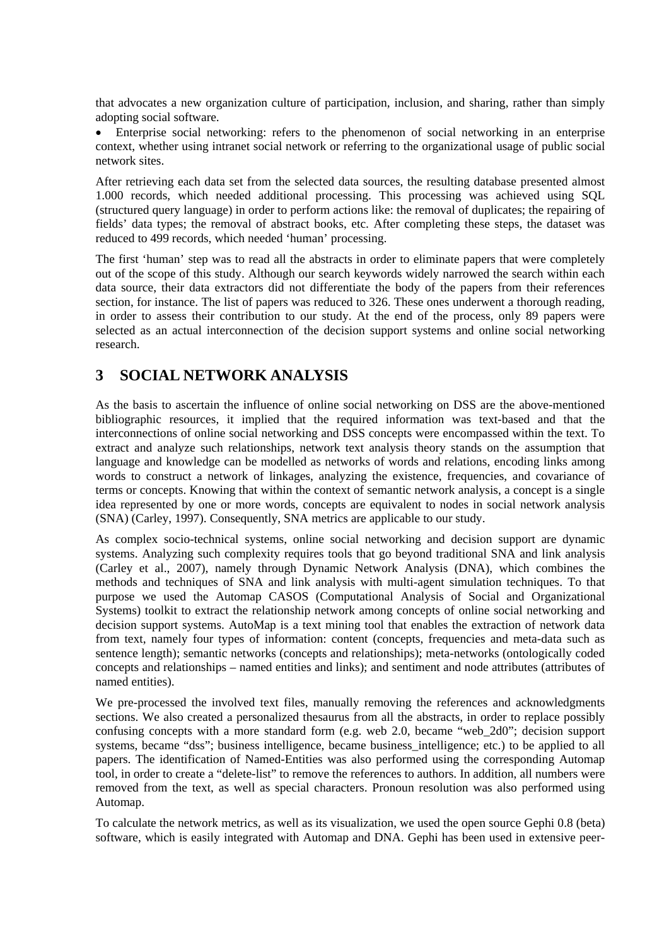that advocates a new organization culture of participation, inclusion, and sharing, rather than simply adopting social software.

• Enterprise social networking: refers to the phenomenon of social networking in an enterprise context, whether using intranet social network or referring to the organizational usage of public social network sites.

After retrieving each data set from the selected data sources, the resulting database presented almost 1.000 records, which needed additional processing. This processing was achieved using SQL (structured query language) in order to perform actions like: the removal of duplicates; the repairing of fields' data types; the removal of abstract books, etc. After completing these steps, the dataset was reduced to 499 records, which needed 'human' processing.

The first 'human' step was to read all the abstracts in order to eliminate papers that were completely out of the scope of this study. Although our search keywords widely narrowed the search within each data source, their data extractors did not differentiate the body of the papers from their references section, for instance. The list of papers was reduced to 326. These ones underwent a thorough reading, in order to assess their contribution to our study. At the end of the process, only 89 papers were selected as an actual interconnection of the decision support systems and online social networking research.

# **3 SOCIAL NETWORK ANALYSIS**

As the basis to ascertain the influence of online social networking on DSS are the above-mentioned bibliographic resources, it implied that the required information was text-based and that the interconnections of online social networking and DSS concepts were encompassed within the text. To extract and analyze such relationships, network text analysis theory stands on the assumption that language and knowledge can be modelled as networks of words and relations, encoding links among words to construct a network of linkages, analyzing the existence, frequencies, and covariance of terms or concepts. Knowing that within the context of semantic network analysis, a concept is a single idea represented by one or more words, concepts are equivalent to nodes in social network analysis (SNA) (Carley, 1997). Consequently, SNA metrics are applicable to our study.

As complex socio-technical systems, online social networking and decision support are dynamic systems. Analyzing such complexity requires tools that go beyond traditional SNA and link analysis (Carley et al., 2007), namely through Dynamic Network Analysis (DNA), which combines the methods and techniques of SNA and link analysis with multi-agent simulation techniques. To that purpose we used the Automap CASOS (Computational Analysis of Social and Organizational Systems) toolkit to extract the relationship network among concepts of online social networking and decision support systems. AutoMap is a text mining tool that enables the extraction of network data from text, namely four types of information: content (concepts, frequencies and meta-data such as sentence length); semantic networks (concepts and relationships); meta-networks (ontologically coded concepts and relationships – named entities and links); and sentiment and node attributes (attributes of named entities).

We pre-processed the involved text files, manually removing the references and acknowledgments sections. We also created a personalized thesaurus from all the abstracts, in order to replace possibly confusing concepts with a more standard form (e.g. web 2.0, became "web\_2d0"; decision support systems, became "dss"; business intelligence, became business intelligence; etc.) to be applied to all papers. The identification of Named-Entities was also performed using the corresponding Automap tool, in order to create a "delete-list" to remove the references to authors. In addition, all numbers were removed from the text, as well as special characters. Pronoun resolution was also performed using Automap.

To calculate the network metrics, as well as its visualization, we used the open source Gephi 0.8 (beta) software, which is easily integrated with Automap and DNA. Gephi has been used in extensive peer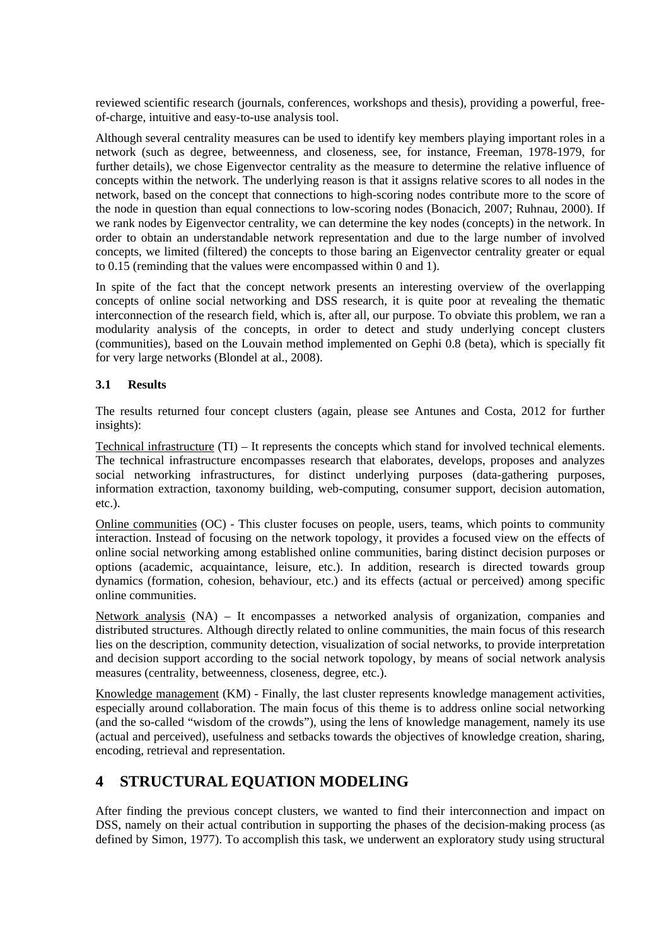reviewed scientific research (journals, conferences, workshops and thesis), providing a powerful, freeof-charge, intuitive and easy-to-use analysis tool.

Although several centrality measures can be used to identify key members playing important roles in a network (such as degree, betweenness, and closeness, see, for instance, Freeman, 1978-1979, for further details), we chose Eigenvector centrality as the measure to determine the relative influence of concepts within the network. The underlying reason is that it assigns relative scores to all nodes in the network, based on the concept that connections to high-scoring nodes contribute more to the score of the node in question than equal connections to low-scoring nodes (Bonacich, 2007; Ruhnau, 2000). If we rank nodes by Eigenvector centrality, we can determine the key nodes (concepts) in the network. In order to obtain an understandable network representation and due to the large number of involved concepts, we limited (filtered) the concepts to those baring an Eigenvector centrality greater or equal to 0.15 (reminding that the values were encompassed within 0 and 1).

In spite of the fact that the concept network presents an interesting overview of the overlapping concepts of online social networking and DSS research, it is quite poor at revealing the thematic interconnection of the research field, which is, after all, our purpose. To obviate this problem, we ran a modularity analysis of the concepts, in order to detect and study underlying concept clusters (communities), based on the Louvain method implemented on Gephi 0.8 (beta), which is specially fit for very large networks (Blondel at al., 2008).

#### **3.1 Results**

The results returned four concept clusters (again, please see Antunes and Costa, 2012 for further insights):

Technical infrastructure (TI) – It represents the concepts which stand for involved technical elements. The technical infrastructure encompasses research that elaborates, develops, proposes and analyzes social networking infrastructures, for distinct underlying purposes (data-gathering purposes, information extraction, taxonomy building, web-computing, consumer support, decision automation, etc.).

Online communities (OC) - This cluster focuses on people, users, teams, which points to community interaction. Instead of focusing on the network topology, it provides a focused view on the effects of online social networking among established online communities, baring distinct decision purposes or options (academic, acquaintance, leisure, etc.). In addition, research is directed towards group dynamics (formation, cohesion, behaviour, etc.) and its effects (actual or perceived) among specific online communities.

Network analysis (NA) – It encompasses a networked analysis of organization, companies and distributed structures. Although directly related to online communities, the main focus of this research lies on the description, community detection, visualization of social networks, to provide interpretation and decision support according to the social network topology, by means of social network analysis measures (centrality, betweenness, closeness, degree, etc.).

Knowledge management (KM) - Finally, the last cluster represents knowledge management activities, especially around collaboration. The main focus of this theme is to address online social networking (and the so-called "wisdom of the crowds"), using the lens of knowledge management, namely its use (actual and perceived), usefulness and setbacks towards the objectives of knowledge creation, sharing, encoding, retrieval and representation.

### **4 STRUCTURAL EQUATION MODELING**

After finding the previous concept clusters, we wanted to find their interconnection and impact on DSS, namely on their actual contribution in supporting the phases of the decision-making process (as defined by Simon, 1977). To accomplish this task, we underwent an exploratory study using structural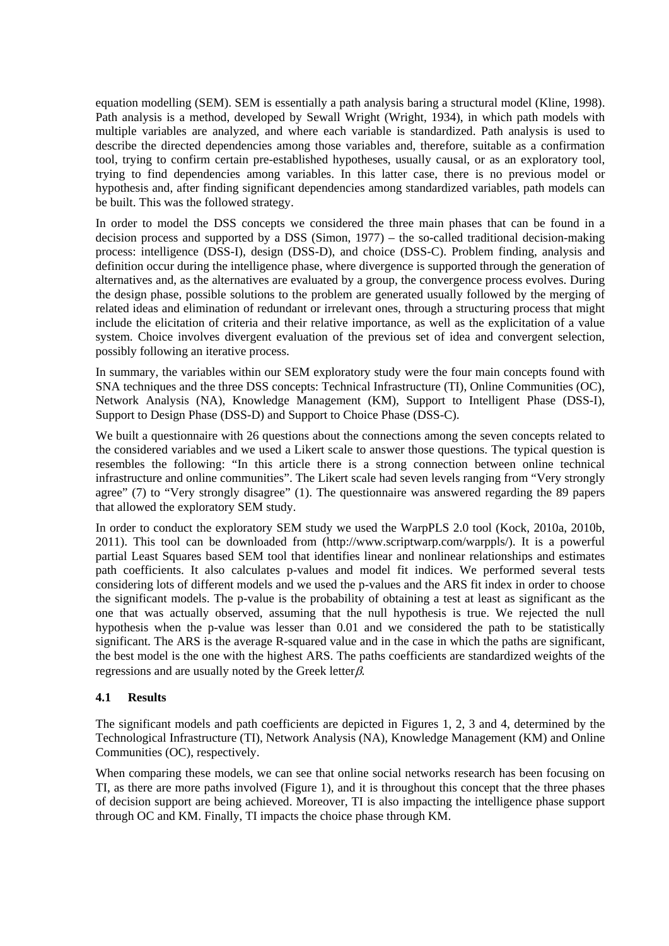equation modelling (SEM). SEM is essentially a path analysis baring a structural model (Kline, 1998). Path analysis is a method, developed by Sewall Wright (Wright, 1934), in which path models with multiple variables are analyzed, and where each variable is standardized. Path analysis is used to describe the directed dependencies among those variables and, therefore, suitable as a confirmation tool, trying to confirm certain pre-established hypotheses, usually causal, or as an exploratory tool, trying to find dependencies among variables. In this latter case, there is no previous model or hypothesis and, after finding significant dependencies among standardized variables, path models can be built. This was the followed strategy.

In order to model the DSS concepts we considered the three main phases that can be found in a decision process and supported by a DSS (Simon, 1977) – the so-called traditional decision-making process: intelligence (DSS-I), design (DSS-D), and choice (DSS-C). Problem finding, analysis and definition occur during the intelligence phase, where divergence is supported through the generation of alternatives and, as the alternatives are evaluated by a group, the convergence process evolves. During the design phase, possible solutions to the problem are generated usually followed by the merging of related ideas and elimination of redundant or irrelevant ones, through a structuring process that might include the elicitation of criteria and their relative importance, as well as the explicitation of a value system. Choice involves divergent evaluation of the previous set of idea and convergent selection, possibly following an iterative process.

In summary, the variables within our SEM exploratory study were the four main concepts found with SNA techniques and the three DSS concepts: Technical Infrastructure (TI), Online Communities (OC), Network Analysis (NA), Knowledge Management (KM), Support to Intelligent Phase (DSS-I), Support to Design Phase (DSS-D) and Support to Choice Phase (DSS-C).

We built a questionnaire with 26 questions about the connections among the seven concepts related to the considered variables and we used a Likert scale to answer those questions. The typical question is resembles the following: "In this article there is a strong connection between online technical infrastructure and online communities". The Likert scale had seven levels ranging from "Very strongly agree" (7) to "Very strongly disagree" (1). The questionnaire was answered regarding the 89 papers that allowed the exploratory SEM study.

In order to conduct the exploratory SEM study we used the WarpPLS 2.0 tool (Kock, 2010a, 2010b, 2011). This tool can be downloaded from (http://www.scriptwarp.com/warppls/). It is a powerful partial Least Squares based SEM tool that identifies linear and nonlinear relationships and estimates path coefficients. It also calculates p-values and model fit indices. We performed several tests considering lots of different models and we used the p-values and the ARS fit index in order to choose the significant models. The p-value is the probability of obtaining a test at least as significant as the one that was actually observed, assuming that the null hypothesis is true. We rejected the null hypothesis when the p-value was lesser than 0.01 and we considered the path to be statistically significant. The ARS is the average R-squared value and in the case in which the paths are significant, the best model is the one with the highest ARS. The paths coefficients are standardized weights of the regressions and are usually noted by the Greek letter $\beta$ .

#### **4.1 Results**

The significant models and path coefficients are depicted in Figures 1, 2, 3 and 4, determined by the Technological Infrastructure (TI), Network Analysis (NA), Knowledge Management (KM) and Online Communities (OC), respectively.

When comparing these models, we can see that online social networks research has been focusing on TI, as there are more paths involved (Figure 1), and it is throughout this concept that the three phases of decision support are being achieved. Moreover, TI is also impacting the intelligence phase support through OC and KM. Finally, TI impacts the choice phase through KM.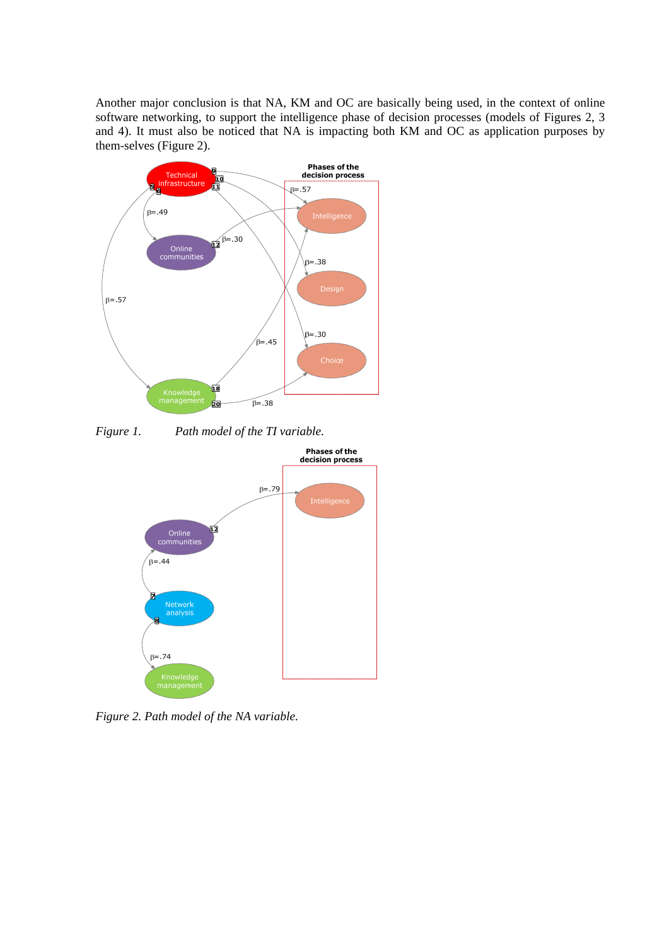Another major conclusion is that NA, KM and OC are basically being used, in the context of online software networking, to support the intelligence phase of decision processes (models of Figures 2, 3 and 4). It must also be noticed that NA is impacting both KM and OC as application purposes by them-selves (Figure 2).



*Figure 1. Path model of the TI variable.* 



*Figure 2. Path model of the NA variable.*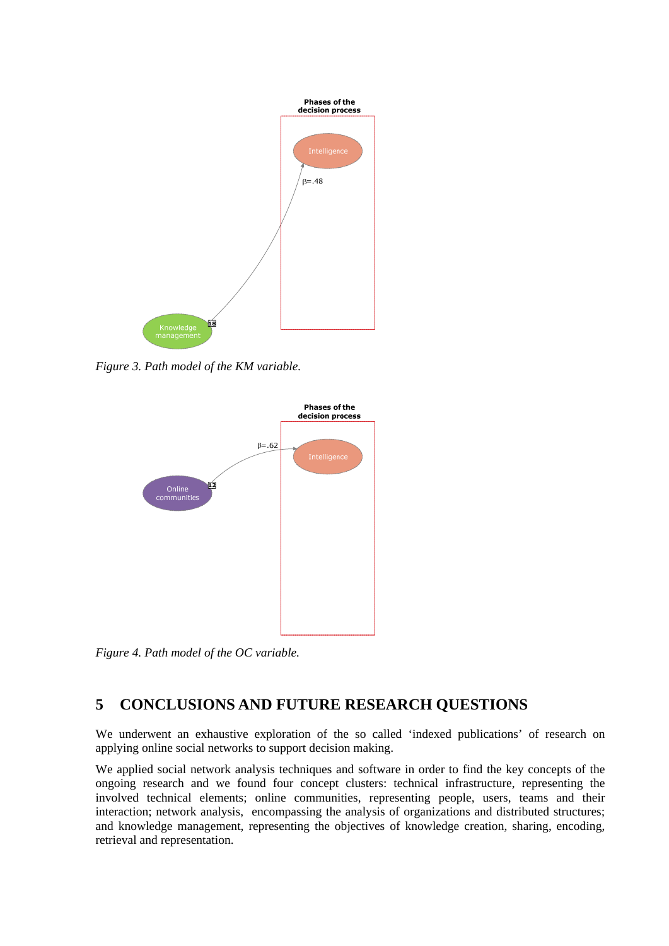

*Figure 3. Path model of the KM variable.* 



*Figure 4. Path model of the OC variable.* 

## **5 CONCLUSIONS AND FUTURE RESEARCH QUESTIONS**

We underwent an exhaustive exploration of the so called 'indexed publications' of research on applying online social networks to support decision making.

We applied social network analysis techniques and software in order to find the key concepts of the ongoing research and we found four concept clusters: technical infrastructure, representing the involved technical elements; online communities, representing people, users, teams and their interaction; network analysis, encompassing the analysis of organizations and distributed structures; and knowledge management, representing the objectives of knowledge creation, sharing, encoding, retrieval and representation.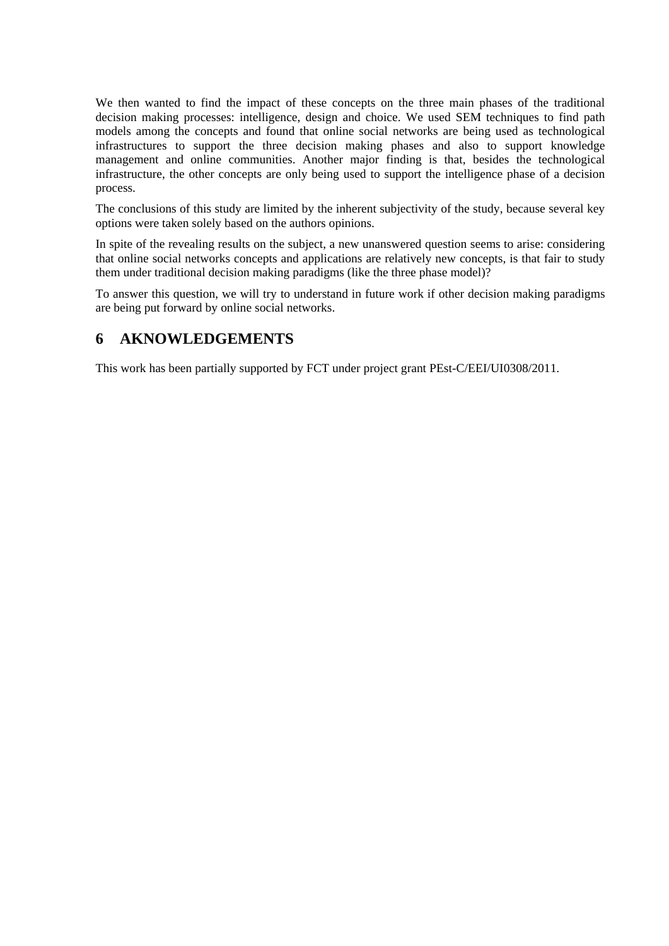We then wanted to find the impact of these concepts on the three main phases of the traditional decision making processes: intelligence, design and choice. We used SEM techniques to find path models among the concepts and found that online social networks are being used as technological infrastructures to support the three decision making phases and also to support knowledge management and online communities. Another major finding is that, besides the technological infrastructure, the other concepts are only being used to support the intelligence phase of a decision process.

The conclusions of this study are limited by the inherent subjectivity of the study, because several key options were taken solely based on the authors opinions.

In spite of the revealing results on the subject, a new unanswered question seems to arise: considering that online social networks concepts and applications are relatively new concepts, is that fair to study them under traditional decision making paradigms (like the three phase model)?

To answer this question, we will try to understand in future work if other decision making paradigms are being put forward by online social networks.

### **6 AKNOWLEDGEMENTS**

This work has been partially supported by FCT under project grant PEst-C/EEI/UI0308/2011.